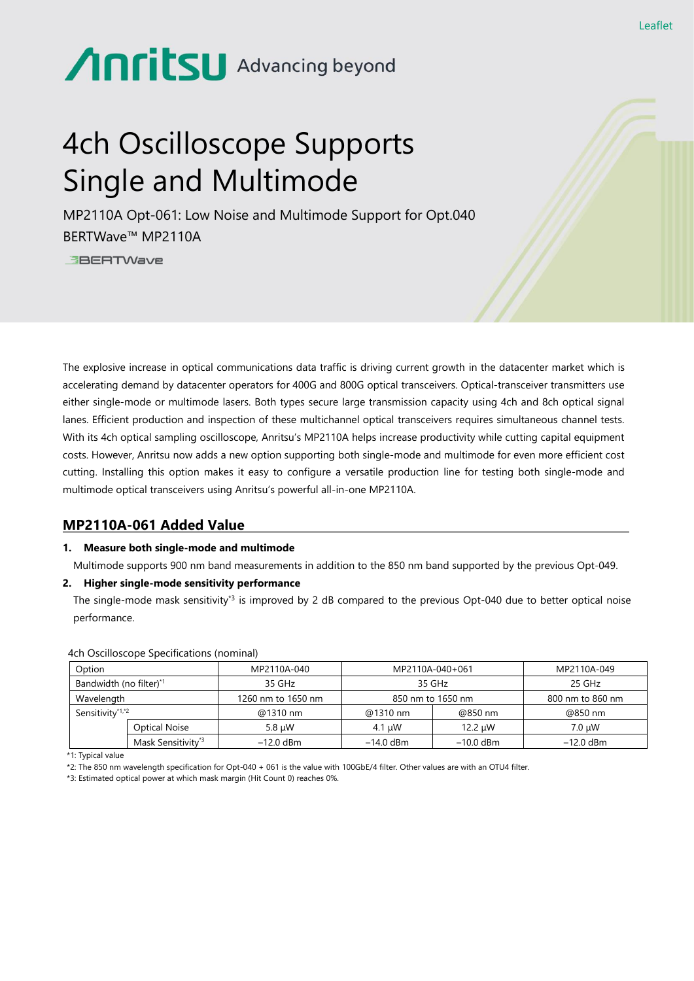# Anritsu Advancing beyond

## 4ch Oscilloscope Supports Single and Multimode

MP2110A Opt-061: Low Noise and Multimode Support for Opt.040 BERTWave™ MP2110A

**EBERTWave** 

The explosive increase in optical communications data traffic is driving current growth in the datacenter market which is accelerating demand by datacenter operators for 400G and 800G optical transceivers. Optical-transceiver transmitters use either single-mode or multimode lasers. Both types secure large transmission capacity using 4ch and 8ch optical signal lanes. Efficient production and inspection of these multichannel optical transceivers requires simultaneous channel tests. With its 4ch optical sampling oscilloscope, Anritsu's MP2110A helps increase productivity while cutting capital equipment costs. However, Anritsu now adds a new option supporting both single-mode and multimode for even more efficient cost cutting. Installing this option makes it easy to configure a versatile production line for testing both single-mode and multimode optical transceivers using Anritsu's powerful all-in-one MP2110A.

### **MP2110A-061 Added Value**

#### **1. Measure both single-mode and multimode**

Multimode supports 900 nm band measurements in addition to the 850 nm band supported by the previous Opt-049.

#### **2. Higher single-mode sensitivity performance**

The single-mode mask sensitivity<sup>3</sup> is improved by 2 dB compared to the previous Opt-040 due to better optical noise performance.

| Option                              |                                | MP2110A-040        | MP2110A-040+061   |             | MP2110A-049      |
|-------------------------------------|--------------------------------|--------------------|-------------------|-------------|------------------|
| Bandwidth (no filter) <sup>*1</sup> |                                | 35 GHz             | 35 GHz            |             | 25 GHz           |
| Wavelength                          |                                | 1260 nm to 1650 nm | 850 nm to 1650 nm |             | 800 nm to 860 nm |
| Sensitivity <sup>*1,*2</sup>        |                                | @1310 nm           | @1310 nm          | @850 nm     | @850 nm          |
|                                     | Optical Noise                  | 5.8 uW             | 4.1 uW            | 12.2 uW     | 7.0 uW           |
|                                     | Mask Sensitivity <sup>*3</sup> | $-12.0$ dBm        | $-14.0$ dBm       | $-10.0$ dBm | $-12.0$ dBm      |

4ch Oscilloscope Specifications (nominal)

\*1: Typical value

\*2: The 850 nm wavelength specification for Opt-040 + 061 is the value with 100GbE/4 filter. Other values are with an OTU4 filter.

\*3: Estimated optical power at which mask margin (Hit Count 0) reaches 0%.